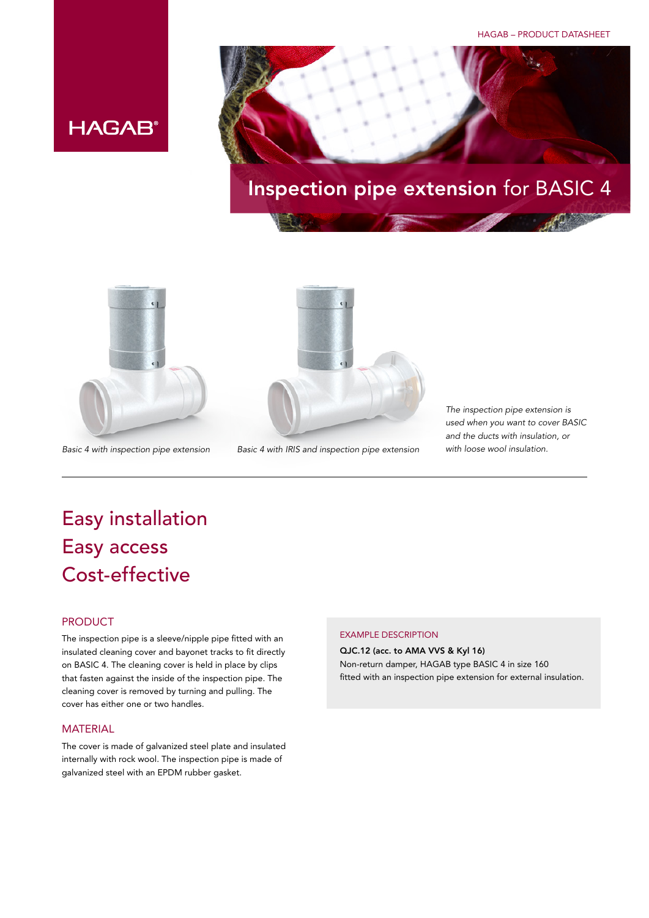HAGAB – PRODUCT DATASHEET



## Inspection pipe extension for BASIC 4





*Basic 4 with inspection pipe extension Basic 4 with IRIS and inspection pipe extension with loose wool insulation.*

*The inspection pipe extension is used when you want to cover BASIC and the ducts with insulation, or* 

Easy installation Easy access Cost-effective

### PRODUCT

The inspection pipe is a sleeve/nipple pipe fitted with an insulated cleaning cover and bayonet tracks to fit directly on BASIC 4. The cleaning cover is held in place by clips that fasten against the inside of the inspection pipe. The cleaning cover is removed by turning and pulling. The cover has either one or two handles.

#### **MATFRIAL**

The cover is made of galvanized steel plate and insulated internally with rock wool. The inspection pipe is made of galvanized steel with an EPDM rubber gasket.

#### EXAMPLE DESCRIPTION

QJC.12 (acc. to AMA VVS & Kyl 16) Non-return damper, HAGAB type BASIC 4 in size 160 fitted with an inspection pipe extension for external insulation.